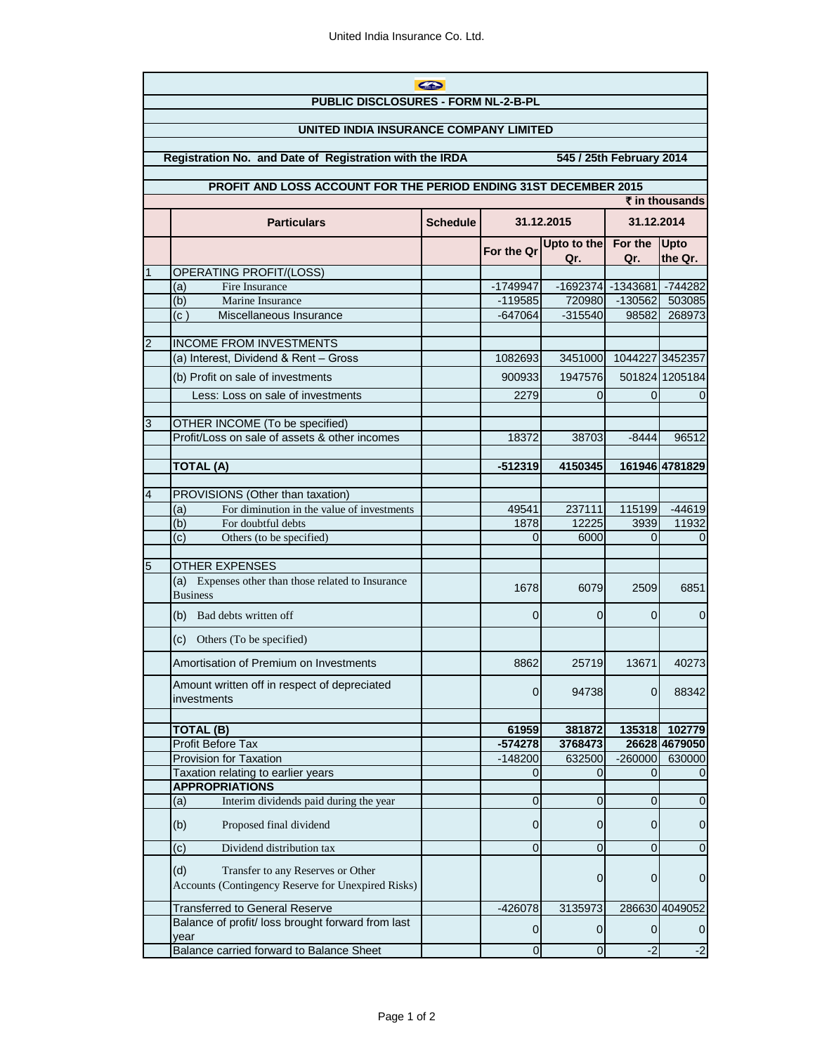|                                                                                     | $\bigoplus$                                                                                    |                 |                    |                    |                       |                         |  |  |
|-------------------------------------------------------------------------------------|------------------------------------------------------------------------------------------------|-----------------|--------------------|--------------------|-----------------------|-------------------------|--|--|
| PUBLIC DISCLOSURES - FORM NL-2-B-PL                                                 |                                                                                                |                 |                    |                    |                       |                         |  |  |
| UNITED INDIA INSURANCE COMPANY LIMITED                                              |                                                                                                |                 |                    |                    |                       |                         |  |  |
| Registration No. and Date of Registration with the IRDA<br>545 / 25th February 2014 |                                                                                                |                 |                    |                    |                       |                         |  |  |
| PROFIT AND LOSS ACCOUNT FOR THE PERIOD ENDING 31ST DECEMBER 2015                    |                                                                                                |                 |                    |                    |                       |                         |  |  |
| $\bar{\tau}$ in thousands                                                           |                                                                                                |                 |                    |                    |                       |                         |  |  |
|                                                                                     | <b>Particulars</b>                                                                             | <b>Schedule</b> | 31.12.2015         |                    | 31.12.2014            |                         |  |  |
|                                                                                     |                                                                                                |                 | For the Qr         | Upto to the<br>Qr. | For the<br>Qr.        | Upto<br>the Qr.         |  |  |
|                                                                                     | OPERATING PROFIT/(LOSS)                                                                        |                 |                    |                    |                       |                         |  |  |
|                                                                                     | (a)<br>Fire Insurance                                                                          |                 | $-1749947$         |                    | $-1692374$ $-1343681$ | $-744282$               |  |  |
|                                                                                     | (b)<br>Marine Insurance                                                                        |                 | $-119585$          | 720980             | $-130562$             | 503085                  |  |  |
|                                                                                     | Miscellaneous Insurance<br>(c)                                                                 |                 | $-647064$          | $-315540$          | 98582                 | 268973                  |  |  |
|                                                                                     |                                                                                                |                 |                    |                    |                       |                         |  |  |
| 2                                                                                   | <b>INCOME FROM INVESTMENTS</b>                                                                 |                 |                    |                    | 1044227 3452357       |                         |  |  |
|                                                                                     | (a) Interest, Dividend & Rent - Gross                                                          |                 | 1082693            | 3451000            |                       |                         |  |  |
|                                                                                     | (b) Profit on sale of investments                                                              |                 | 900933             | 1947576            |                       | 501824 1205184          |  |  |
|                                                                                     | Less: Loss on sale of investments                                                              |                 | 2279               | 0                  | 0                     | 0                       |  |  |
| 3                                                                                   | OTHER INCOME (To be specified)                                                                 |                 |                    |                    |                       |                         |  |  |
|                                                                                     | Profit/Loss on sale of assets & other incomes                                                  |                 | 18372              | 38703              | $-8444$               | 96512                   |  |  |
|                                                                                     |                                                                                                |                 |                    |                    |                       |                         |  |  |
|                                                                                     | <b>TOTAL (A)</b>                                                                               |                 | $-512319$          | 4150345            |                       | 161946 4781829          |  |  |
|                                                                                     |                                                                                                |                 |                    |                    |                       |                         |  |  |
| 4                                                                                   | PROVISIONS (Other than taxation)<br>For diminution in the value of investments<br>(a)          |                 | 49541              | 237111             | 115199                | $-44619$                |  |  |
|                                                                                     | (b)<br>For doubtful debts                                                                      |                 | 1878               | 12225              | 3939                  | 11932                   |  |  |
|                                                                                     | (c)<br>Others (to be specified)                                                                |                 | $\Omega$           | 6000               | 0                     | $\Omega$                |  |  |
|                                                                                     |                                                                                                |                 |                    |                    |                       |                         |  |  |
| 5                                                                                   | <b>OTHER EXPENSES</b>                                                                          |                 |                    |                    |                       |                         |  |  |
|                                                                                     | (a) Expenses other than those related to Insurance<br><b>Business</b>                          |                 | 1678               | 6079               | 2509                  | 6851                    |  |  |
|                                                                                     | (b)<br>Bad debts written off                                                                   |                 | 0                  | 0                  | 0                     | 0                       |  |  |
|                                                                                     | Others (To be specified)<br>(c)                                                                |                 |                    |                    |                       |                         |  |  |
|                                                                                     | Amortisation of Premium on Investments                                                         |                 | 8862               | 25719              | 13671                 | 40273                   |  |  |
|                                                                                     | Amount written off in respect of depreciated<br>investments                                    |                 | $\overline{0}$     | 94738              | 0                     | 88342                   |  |  |
|                                                                                     |                                                                                                |                 |                    |                    |                       |                         |  |  |
|                                                                                     | <b>TOTAL (B)</b><br>Profit Before Tax                                                          |                 | 61959<br>$-574278$ | 381872<br>3768473  | 135318                | 102779<br>26628 4679050 |  |  |
|                                                                                     | <b>Provision for Taxation</b>                                                                  |                 | $-148200$          | 632500             | $-260000$             | 630000                  |  |  |
|                                                                                     | Taxation relating to earlier years                                                             |                 | 0                  | 0                  | 0                     |                         |  |  |
|                                                                                     | <b>APPROPRIATIONS</b>                                                                          |                 |                    |                    |                       |                         |  |  |
|                                                                                     | Interim dividends paid during the year<br>(a)                                                  |                 | 0                  | 0                  | 0                     | 0                       |  |  |
|                                                                                     | (b)<br>Proposed final dividend                                                                 |                 | $\mathbf 0$        | 0                  | 0                     | 0                       |  |  |
|                                                                                     | (c)<br>Dividend distribution tax                                                               |                 | $\mathbf 0$        | $\overline{0}$     | $\Omega$              | 0                       |  |  |
|                                                                                     | (d)<br>Transfer to any Reserves or Other<br>Accounts (Contingency Reserve for Unexpired Risks) |                 |                    | 0                  | 0                     | $\mathbf 0$             |  |  |
|                                                                                     | <b>Transferred to General Reserve</b>                                                          |                 | $-426078$          | 3135973            |                       | 286630 4049052          |  |  |
|                                                                                     | Balance of profit/ loss brought forward from last<br>year                                      |                 | $\mathbf 0$        | 0                  | 0                     | 0                       |  |  |
|                                                                                     | Balance carried forward to Balance Sheet                                                       |                 | $\mathbf 0$        | $\overline{0}$     | $-2$                  | $-2$                    |  |  |